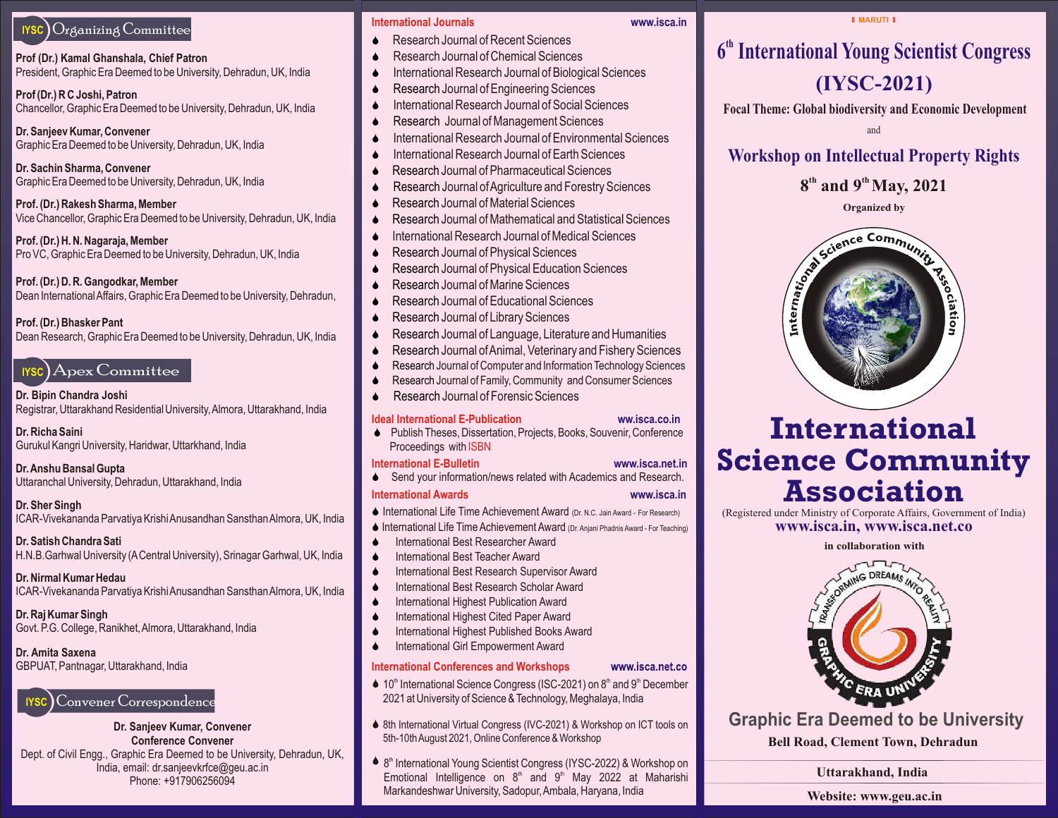## **IYSC** Organizing Committee

**Prof (Dr.) Kamal Ghanshala, Chief Patron** President, Graphic Era Deemed to be University, Dehradun, UK, India

**Prof (Dr.) R C Joshi, Patron** Chancellor, Graphic Era Deemed to be University, Dehradun, UK, India

**Dr. Sanjeev Kumar, Convener** Graphic Era Deemed to be University, Dehradun, UK, India

**Dr. Sachin Sharma, Convener** Graphic Era Deemed to be University, Dehradun, UK, India

**Prof. (Dr.) Rakesh Sharma, Member** Vice Chancellor, Graphic Era Deemed to be University, Dehradun, UK, India

**Prof. (Dr.) H. N. Nagaraja, Member** Pro VC, Graphic Era Deemed to be University, Dehradun, UK, India

**Prof. (Dr.) D. R. Gangodkar, Member** Dean International Affairs, Graphic Era Deemed to be University, Dehradun,

### **Prof. (Dr.) Bhasker Pant**

Dean Research, Graphic Era Deemed to be University, Dehradun, UK, India

## **IYSC** ApexCommittee

**Dr. Bipin Chandra Joshi** Registrar, Uttarakhand Residential University, Almora, Uttarakhand, India

**Dr. Richa Saini** Gurukul Kangri University, Haridwar, Uttarkhand, India

**Dr. Anshu Bansal Gupta** Uttaranchal University, Dehradun, Uttarakhand, India

**Dr. Sher Singh** ICAR-Vivekananda Parvatiya Krishi Anusandhan Sansthan Almora, UK, India

**Dr. Satish Chandra Sati** H.N.B.Garhwal University (ACentral University), Srinagar Garhwal, UK, India

**Dr. Nirmal Kumar Hedau** ICAR-Vivekananda Parvatiya Krishi Anusandhan Sansthan Almora, UK, India

**Dr. Raj Kumar Singh** Govt. P.G. College, Ranikhet, Almora, Uttarakhand, India

**Dr. Amita Saxena**  GBPUAT, Pantnagar, Uttarakhand, India



**Dr. Sanjeev Kumar, Convener Conference Convener**  Dept. of Civil Engg., Graphic Era Deemed to be University, Dehradun, UK, India, email: dr.sanjeevkrfce@geu.ac.in Phone: +917906256094

#### **International Journals www.isca.in**

- Research Journal of Recent Sciences
- Research Journal of Chemical Sciences
- 
- 
- International Research Journal of Social Sciences
- Research Journal of Management Sciences and the search of the search of the search of the search of the search of the search of the search of the search of the search of the search of the search of the search of the sea
- ◆ International Research Journal of Environmental Sciences → New York New York New York New York New York New York New York New York New York New York New York New York New York New York New York New York New York New Yor
- International Research Journal of Earth Sciences
- Research Journal of Pharmaceutical Sciences **All the Contract of Contract of Contract of Contract of Contract of Contract of Contract of Contract of Contract of Contract of Contract of Contract of Contract of Contract o**
- S Research Journal of Agriculture and Forestry Sciences
- $\bullet$  Research Journal of Material Sciences  $\bullet$  Section 2.1  $\bullet$  Section 2.1  $\bullet$  Section 2.1  $\bullet$  Section 2.1  $\bullet$  Section 2.1  $\bullet$  Section 2.1  $\bullet$  Section 2.1  $\bullet$  Section 2.1  $\bullet$  Section 2.1  $\bullet$  Section 2.1  $\bullet$  Sec Research Journal of Material Sciences
- $\bullet$  Research Journal of Mathematical and Statistical Sciences and Statistical Sciences and Statistical Sciences and Statistical Sciences and Statistical Sciences and Statistical Sciences and Statistical Sciences and Stat Research Journal of Mathematical and Statistical Sciences
- International Research Journal of Medical Sciences  $\sqrt{2}$  and  $\sqrt{2}$  and  $\sqrt{2}$  are  $\sqrt{2}$  and  $\sqrt{2}$  and  $\sqrt{2}$  are  $\sqrt{2}$  and  $\sqrt{2}$  and  $\sqrt{2}$  are  $\sqrt{2}$  and  $\sqrt{2}$  and  $\sqrt{2}$  are  $\sqrt{2}$  and  $\sqrt{2}$  and International Research Journal of Medical Sciences
- Research Journal of Physical Sciences and the contract of the contract of  $\sim$  Science and the contract of  $\sim$  Science and the contract of  $\sim$  Science and the contract of  $\sim$  Science and the contract of  $\sim$  Science Research Journal of Physical Sciences
- **S** Research Journal of Physical Education Sciences **All and Sciences** All and Sciences **All and Sciences** All and Sciences **All and Sciences** All and Sciences All and Sciences All and Sciences All and Sciences All and Sci
- ▲ Research Journal of Marine Sciences And The Communication of the Communication of the Communication of the Communication of the Communication of the Communication of the Communication of the Communication of the Communi Research Journal of Marine Sciences
- A Research Journal of Educational Sciences and the set of the set of  $\mathcal{S}$  is the set of  $\mathcal{S}$  in the set of  $\mathcal{S}$  is the set of  $\mathcal{S}$  is the set of  $\mathcal{S}$  is the set of  $\mathcal{S}$  is the set of  $\mathcal{S}$  is th Research Journal of Educational Sciences
- $\bullet$  Research Journal of Library Sciences and the contract of the contract of  $\downarrow$   $\downarrow$   $\downarrow$   $\downarrow$   $\downarrow$   $\downarrow$   $\downarrow$   $\downarrow$   $\downarrow$   $\downarrow$   $\downarrow$   $\downarrow$   $\downarrow$   $\downarrow$   $\downarrow$   $\downarrow$   $\downarrow$   $\downarrow$   $\downarrow$   $\downarrow$   $\downarrow$   $\downarrow$   $\downarrow$   $\downarrow$ Research Journal of Library Sciences
- A Research Journal of Language, Literature and Humanities (Search Andreas Andreas Andreas Andreas Andreas Andreas Andreas Andreas Andreas Andreas Andreas Andreas Andreas Andreas Andreas Andreas Andreas Andreas Andreas Andr
- **S** Research Journal of Animal, Veterinary and Fishery Sciences **Contract Contract Contract Contract Contract Contract Contract Contract Contract Contract Contract Contract Contract Contract Contract Contract Contract Cont**
- S Research Journal of Computer and InformationTechnology Sciences
- **S** Research Journal of Family, Community and Consumer Sciences **Consumer Sciences**
- Research Journal of Forensic Sciences **Contract Contract Contract Contract Contract Contract Contract Contract Contract Contract Contract Contract Contract Contract Contract Contract Contract Contract Contract Contract**

**International Conferences and Workshops**

5th-10th August 2021, Online Conference & Workshop

### **Ideal International E-Publication**

#### ◆ **Research Journal of Chemical Sciences Second Line of Chemical Sciences 1** 6<sup>th</sup> International Young Scientist Congress **(IYSC-2021)** S Research Journal of Engineering Sciences ● International Research Journal of Biological Sciences And All Albert Control of ACAC ACAC AND Albert Control of The Terminal Of Biological Sciences And Albert Control of ACAC ACAC AND Albert Control of The Terminal Of T • Research Journal of Recent Sciences and the set of the set of the set of the set of the set of the set of the set of the set of the set of the set of the set of the set of the set of the set of the set of the set of the

**II MARUTI II** 

◆ International Research Journal of Social Sciences Focal Theme: Global biodiversity and Economic Development

and

**A** International Research Journal of Earth Sciences **Norkshop on Intellectual Property Rights** 

## **th th 8 and 9 May, 2021**

**Organized by**



# **International Science Community Association** • Publish Theses, Dissertation, Projects, Books, Souvenir, Conference **INIELIONAL**

● International Life Time Achievement Award (Dr. N.C. Jain Award - For Research) (Registered under Ministry of Corporate Affairs, Government of India) **www.isca.in, www.isca.net.co** ● International Life Time Achievement Award (Dr. Anjani Phadnis Award - For Teaching) WWW.**isca.in, www.isca.net.co** 

**in collaboration with** ● International Best Researcher Award News State State State State State State State State State State State State State State State State State State State State State State State State State State State State State Stat



**Graphic Era Deemed to be University**

**Bell Road, Clement Town, Dehradun** 

### **Uttarakhand, India**

**Website: www.geu.ac.in**

Proceedings with ISBN

 $\blacklozenge$  10<sup>th</sup> International Science Congress (ISC-2021) on 8<sup>th</sup> and 9<sup>th</sup> December 2021 at University of Science & Technology, Meghalaya, India

♦ 8th International Virtual Congress (IVC-2021) & Workshop on ICT tools on

 $\triangleq 8$ <sup>th</sup> International Young Scientist Congress (IYSC-2022) & Workshop on Emotional Intelligence on  $8<sup>th</sup>$  and  $9<sup>th</sup>$  May 2022 at Maharishi

Markandeshwar University, Sadopur, Ambala, Haryana, India

#### **International E-Bulletin www.isca.net.in**  $\blacklozenge$  Send your information/news related with Academics and Research.

**ww.isca.co.in**

**International Awards www.isca.in**

www.isca.net.co

◆ International Life Time Achievement Award (Dr. N.C. Jain Award - For Research)